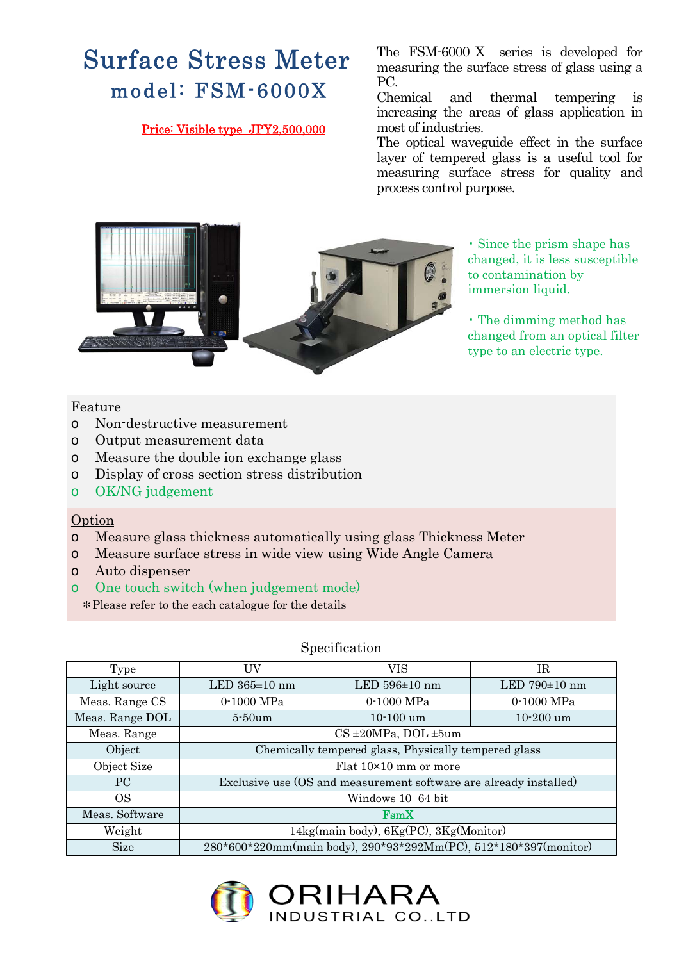# Surface Stress Meter model: FSM-6000X

### Price: Visible type JPY2,500,000

The FSM-6000 X series is developed for measuring the surface stress of glass using a PC.

Chemical and thermal tempering is increasing the areas of glass application in most of industries.

The optical waveguide effect in the surface layer of tempered glass is a useful tool for measuring surface stress for quality and process control purpose.



・ Since the prism shape has changed, it is less susceptible to contamination by immersion liquid.

・ The dimming method has changed from an optical filter type to an electric type.

### Feature

- o Non-destructive measurement
- o Output measurement data
- o Measure the double ion exchange glass
- o Display of cross section stress distribution
- o OK/NG judgement

## Option

- o Measure glass thickness automatically using glass Thickness Meter
- o Measure surface stress in wide view using Wide Angle Camera
- o Auto dispenser
- o One touch switch (when judgement mode)

\*Please refer to the each catalogue for the details

#### Specification

| Type            | UV                                                                | VIS               | IR                |
|-----------------|-------------------------------------------------------------------|-------------------|-------------------|
| Light source    | LED $365\pm10$ nm                                                 | LED $596\pm10$ nm | LED $790\pm10$ nm |
| Meas. Range CS  | 0-1000 MPa                                                        | 0-1000 MPa        | 0-1000 MPa        |
| Meas. Range DOL | $5-50$ um                                                         | $10-100$ um       | $10 - 200$ um     |
| Meas. Range     | $CS \pm 20MPa$ , DOL $\pm 5um$                                    |                   |                   |
| Object          | Chemically tempered glass, Physically tempered glass              |                   |                   |
| Object Size     | Flat 10×10 mm or more                                             |                   |                   |
| PC.             | Exclusive use (OS and measurement software are already installed) |                   |                   |
| <sub>OS</sub>   | Windows 10 64 bit                                                 |                   |                   |
| Meas. Software  | F <sub>sm</sub> X                                                 |                   |                   |
| Weight          | 14kg(main body), 6Kg(PC), 3Kg(Monitor)                            |                   |                   |
| <b>Size</b>     | 280*600*220mm(main body), 290*93*292Mm(PC), 512*180*397(monitor)  |                   |                   |